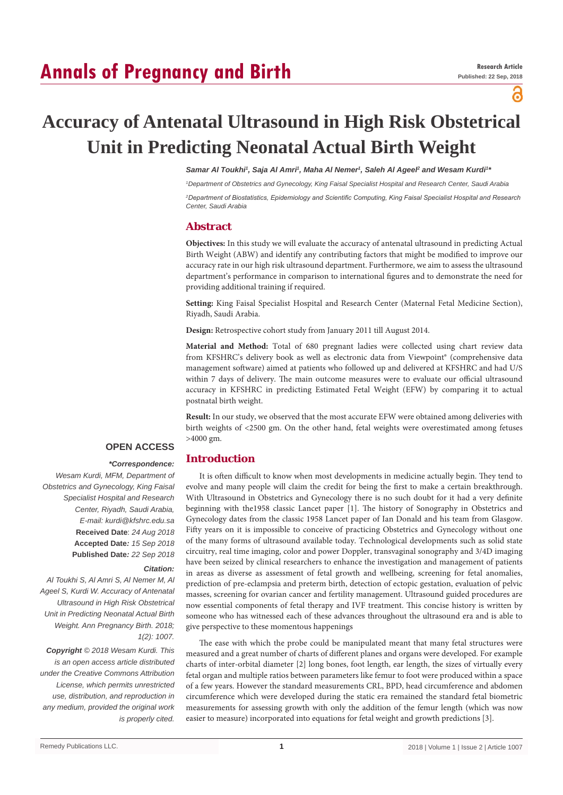# **Annals of Pregnancy and Birth**

ခ

# **Accuracy of Antenatal Ultrasound in High Risk Obstetrical Unit in Predicting Neonatal Actual Birth Weight**

Samar Al Toukhi<sup>1</sup>, Saja Al Amri<sup>1</sup>, Maha Al Nemer<sup>1</sup>, Saleh Al Ageel<sup>2</sup> and Wesam Kurdi<sup>1</sup><sup>1</sup>

*1 Department of Obstetrics and Gynecology, King Faisal Specialist Hospital and Research Center, Saudi Arabia*

*2 Department of Biostatistics, Epidemiology and Scientific Computing, King Faisal Specialist Hospital and Research Center, Saudi Arabia*

# **Abstract**

**Objectives:** In this study we will evaluate the accuracy of antenatal ultrasound in predicting Actual Birth Weight (ABW) and identify any contributing factors that might be modified to improve our accuracy rate in our high risk ultrasound department. Furthermore, we aim to assess the ultrasound department's performance in comparison to international figures and to demonstrate the need for providing additional training if required.

**Setting:** King Faisal Specialist Hospital and Research Center (Maternal Fetal Medicine Section), Riyadh, Saudi Arabia.

**Design:** Retrospective cohort study from January 2011 till August 2014.

**Material and Method:** Total of 680 pregnant ladies were collected using chart review data from KFSHRC's delivery book as well as electronic data from Viewpoint® (comprehensive data management software) aimed at patients who followed up and delivered at KFSHRC and had U/S within 7 days of delivery. The main outcome measures were to evaluate our official ultrasound accuracy in KFSHRC in predicting Estimated Fetal Weight (EFW) by comparing it to actual postnatal birth weight.

**Result:** In our study, we observed that the most accurate EFW were obtained among deliveries with birth weights of <2500 gm. On the other hand, fetal weights were overestimated among fetuses >4000 gm.

# **OPEN ACCESS**

#### *\*Correspondence:* **Introduction**

*Wesam Kurdi, MFM, Department of Obstetrics and Gynecology, King Faisal Specialist Hospital and Research Center, Riyadh, Saudi Arabia, E-mail: kurdi@kfshrc.edu.sa* **Received Date**: *24 Aug 2018* **Accepted Date***: 15 Sep 2018* **Published Date***: 22 Sep 2018*

#### *Citation:*

*Al Toukhi S, Al Amri S, Al Nemer M, Al Ageel S, Kurdi W. Accuracy of Antenatal Ultrasound in High Risk Obstetrical Unit in Predicting Neonatal Actual Birth Weight. Ann Pregnancy Birth. 2018; 1(2): 1007.*

*Copyright © 2018 Wesam Kurdi. This is an open access article distributed under the Creative Commons Attribution License, which permits unrestricted use, distribution, and reproduction in any medium, provided the original work is properly cited.*

It is often difficult to know when most developments in medicine actually begin. They tend to evolve and many people will claim the credit for being the first to make a certain breakthrough. With Ultrasound in Obstetrics and Gynecology there is no such doubt for it had a very definite beginning with the1958 classic Lancet paper [1]. The history of Sonography in Obstetrics and Gynecology dates from the classic 1958 Lancet paper of Ian Donald and his team from Glasgow. Fifty years on it is impossible to conceive of practicing Obstetrics and Gynecology without one of the many forms of ultrasound available today. Technological developments such as solid state circuitry, real time imaging, color and power Doppler, transvaginal sonography and 3/4D imaging have been seized by clinical researchers to enhance the investigation and management of patients in areas as diverse as assessment of fetal growth and wellbeing, screening for fetal anomalies, prediction of pre-eclampsia and preterm birth, detection of ectopic gestation, evaluation of pelvic masses, screening for ovarian cancer and fertility management. Ultrasound guided procedures are now essential components of fetal therapy and IVF treatment. This concise history is written by someone who has witnessed each of these advances throughout the ultrasound era and is able to give perspective to these momentous happenings

The ease with which the probe could be manipulated meant that many fetal structures were measured and a great number of charts of different planes and organs were developed. For example charts of inter-orbital diameter [2] long bones, foot length, ear length, the sizes of virtually every fetal organ and multiple ratios between parameters like femur to foot were produced within a space of a few years. However the standard measurements CRL, BPD, head circumference and abdomen circumference which were developed during the static era remained the standard fetal biometric measurements for assessing growth with only the addition of the femur length (which was now easier to measure) incorporated into equations for fetal weight and growth predictions [3].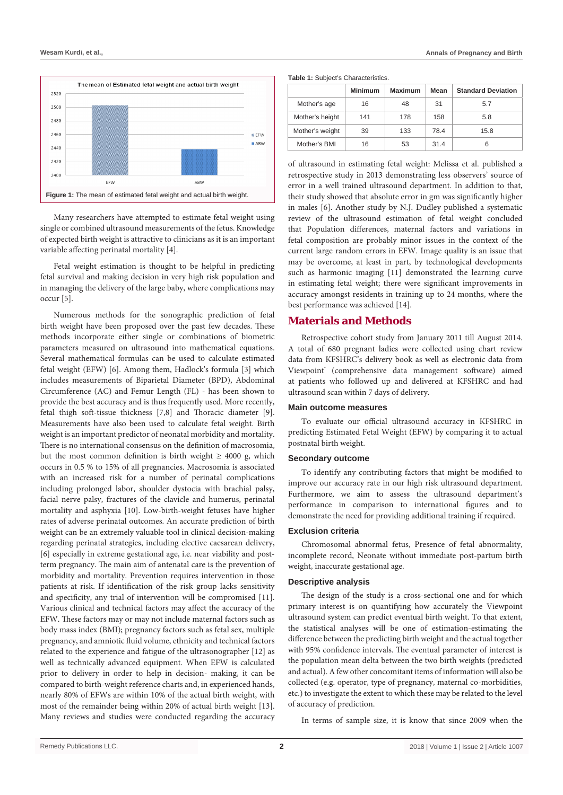

Many researchers have attempted to estimate fetal weight using single or combined ultrasound measurements of the fetus. Knowledge of expected birth weight is attractive to clinicians as it is an important variable affecting perinatal mortality [4].

Fetal weight estimation is thought to be helpful in predicting fetal survival and making decision in very high risk population and in managing the delivery of the large baby, where complications may occur [5].

Numerous methods for the sonographic prediction of fetal birth weight have been proposed over the past few decades. These methods incorporate either single or combinations of biometric parameters measured on ultrasound into mathematical equations. Several mathematical formulas can be used to calculate estimated fetal weight (EFW) [6]. Among them, Hadlock's formula [3] which includes measurements of Biparietal Diameter (BPD), Abdominal Circumference (AC) and Femur Length (FL) - has been shown to provide the best accuracy and is thus frequently used. More recently, fetal thigh soft-tissue thickness [7,8] and Thoracic diameter [9]. Measurements have also been used to calculate fetal weight. Birth weight is an important predictor of neonatal morbidity and mortality. There is no international consensus on the definition of macrosomia, but the most common definition is birth weight  $\geq 4000$  g, which occurs in 0.5 % to 15% of all pregnancies. Macrosomia is associated with an increased risk for a number of perinatal complications including prolonged labor, shoulder dystocia with brachial palsy, facial nerve palsy, fractures of the clavicle and humerus, perinatal mortality and asphyxia [10]. Low-birth-weight fetuses have higher rates of adverse perinatal outcomes. An accurate prediction of birth weight can be an extremely valuable tool in clinical decision-making regarding perinatal strategies, including elective caesarean delivery, [6] especially in extreme gestational age, i.e. near viability and postterm pregnancy. The main aim of antenatal care is the prevention of morbidity and mortality. Prevention requires intervention in those patients at risk. If identification of the risk group lacks sensitivity and specificity, any trial of intervention will be compromised [11]. Various clinical and technical factors may affect the accuracy of the EFW. These factors may or may not include maternal factors such as body mass index (BMI); pregnancy factors such as fetal sex, multiple pregnancy, and amniotic fluid volume, ethnicity and technical factors related to the experience and fatigue of the ultrasonographer [12] as well as technically advanced equipment. When EFW is calculated prior to delivery in order to help in decision- making, it can be compared to birth-weight reference charts and, in experienced hands, nearly 80% of EFWs are within 10% of the actual birth weight, with most of the remainder being within 20% of actual birth weight [13]. Many reviews and studies were conducted regarding the accuracy **Table 1:** Subject's Characteristics.

|                 | <b>Minimum</b> | <b>Maximum</b> | Mean | <b>Standard Deviation</b> |
|-----------------|----------------|----------------|------|---------------------------|
| Mother's age    | 16             | 48             | 31   | 5.7                       |
| Mother's height | 141            | 178            | 158  | 5.8                       |
| Mother's weight | 39             | 133            | 78.4 | 15.8                      |
| Mother's BMI    | 16             | 53             | 31.4 | 6                         |

of ultrasound in estimating fetal weight: Melissa et al. published a retrospective study in 2013 demonstrating less observers' source of error in a well trained ultrasound department. In addition to that, their study showed that absolute error in gm was significantly higher in males [6]. Another study by N.J. Dudley published a systematic review of the ultrasound estimation of fetal weight concluded that Population differences, maternal factors and variations in fetal composition are probably minor issues in the context of the current large random errors in EFW. Image quality is an issue that may be overcome, at least in part, by technological developments such as harmonic imaging [11] demonstrated the learning curve in estimating fetal weight; there were significant improvements in accuracy amongst residents in training up to 24 months, where the best performance was achieved [14].

#### **Materials and Methods**

Retrospective cohort study from January 2011 till August 2014. A total of 680 pregnant ladies were collected using chart review data from KFSHRC's delivery book as well as electronic data from Viewpoint® (comprehensive data management software) aimed at patients who followed up and delivered at KFSHRC and had ultrasound scan within 7 days of delivery.

#### **Main outcome measures**

To evaluate our official ultrasound accuracy in KFSHRC in predicting Estimated Fetal Weight (EFW) by comparing it to actual postnatal birth weight.

#### **Secondary outcome**

To identify any contributing factors that might be modified to improve our accuracy rate in our high risk ultrasound department. Furthermore, we aim to assess the ultrasound department's performance in comparison to international figures and to demonstrate the need for providing additional training if required.

#### **Exclusion criteria**

Chromosomal abnormal fetus, Presence of fetal abnormality, incomplete record, Neonate without immediate post-partum birth weight, inaccurate gestational age.

#### **Descriptive analysis**

The design of the study is a cross-sectional one and for which primary interest is on quantifying how accurately the Viewpoint ultrasound system can predict eventual birth weight. To that extent, the statistical analyses will be one of estimation-estimating the difference between the predicting birth weight and the actual together with 95% confidence intervals. The eventual parameter of interest is the population mean delta between the two birth weights (predicted and actual). A few other concomitant items of information will also be collected (e.g. operator, type of pregnancy, maternal co-morbidities, etc.) to investigate the extent to which these may be related to the level of accuracy of prediction.

In terms of sample size, it is know that since 2009 when the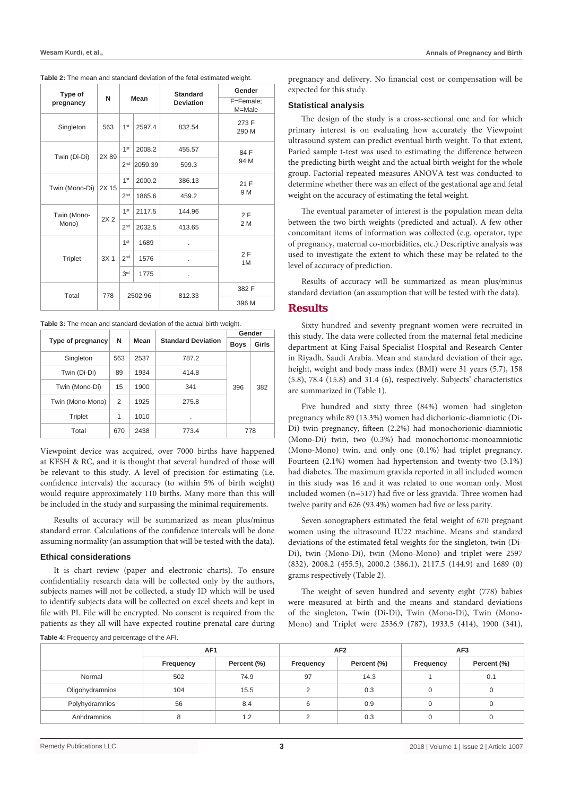| Table 2: The mean and standard deviation of the fetal estimated weight. |
|-------------------------------------------------------------------------|
|-------------------------------------------------------------------------|

| Type of<br>pregnancy | N               | Mean            |                 |                |                | <b>Standard</b><br><b>Deviation</b> | Gender<br>F=Female;<br>M=Male |  |  |  |  |  |  |  |                 |      |  |          |
|----------------------|-----------------|-----------------|-----------------|----------------|----------------|-------------------------------------|-------------------------------|--|--|--|--|--|--|--|-----------------|------|--|----------|
| Singleton            | 563             | 1 <sup>st</sup> | 2597.4          | 832.54         | 273 F<br>290 M |                                     |                               |  |  |  |  |  |  |  |                 |      |  |          |
|                      |                 | 1 <sup>st</sup> | 2008.2          | 455.57         | 84 F           |                                     |                               |  |  |  |  |  |  |  |                 |      |  |          |
| Twin (Di-Di)         | 2X 89           | 2 <sup>nd</sup> | 2059.39         | 599.3          | 94 M           |                                     |                               |  |  |  |  |  |  |  |                 |      |  |          |
|                      | 2X 15           | 1 <sup>st</sup> | 2000.2          | 386.13         | 21 F           |                                     |                               |  |  |  |  |  |  |  |                 |      |  |          |
| Twin (Mono-Di)       |                 | 2 <sup>nd</sup> | 1865.6          | 459.2          | 9 M            |                                     |                               |  |  |  |  |  |  |  |                 |      |  |          |
| Twin (Mono-          | 2X <sub>2</sub> | 1 <sup>st</sup> | 2117.5          | 144.96         | 2F             |                                     |                               |  |  |  |  |  |  |  |                 |      |  |          |
| Mono)                |                 |                 | 2 <sup>nd</sup> | 2032.5         | 413.65         | 2 M                                 |                               |  |  |  |  |  |  |  |                 |      |  |          |
|                      |                 | 1 <sup>st</sup> | 1689            | ä,             |                |                                     |                               |  |  |  |  |  |  |  |                 |      |  |          |
| <b>Triplet</b>       | 3X <sub>1</sub> |                 |                 |                |                |                                     |                               |  |  |  |  |  |  |  | 2 <sub>nd</sub> | 1576 |  | 2F<br>1M |
|                      |                 | 3 <sup>rd</sup> | 1775            | $\blacksquare$ |                |                                     |                               |  |  |  |  |  |  |  |                 |      |  |          |
| Total                | 778             |                 | 2502.96         | 812.33         | 382 F          |                                     |                               |  |  |  |  |  |  |  |                 |      |  |          |
|                      |                 |                 |                 |                | 396 M          |                                     |                               |  |  |  |  |  |  |  |                 |      |  |          |

| Table 3: The mean and standard deviation of the actual birth weight. |  |
|----------------------------------------------------------------------|--|
|----------------------------------------------------------------------|--|

|                   |           |      |                           | Gender      |       |
|-------------------|-----------|------|---------------------------|-------------|-------|
| Type of pregnancy | N<br>Mean |      | <b>Standard Deviation</b> | <b>Boys</b> | Girls |
| Singleton         | 563       | 2537 | 787.2                     |             |       |
| Twin (Di-Di)      | 89        | 1934 | 414.8                     |             |       |
| Twin (Mono-Di)    | 15        | 1900 | 341                       | 396         | 382   |
| Twin (Mono-Mono)  | 2         | 1925 | 275.8                     |             |       |
| Triplet           | 1         | 1010 | ٠                         |             |       |
| Total             | 670       | 2438 | 773.4                     |             | 778   |

Viewpoint device was acquired, over 7000 births have happened at KFSH & RC, and it is thought that several hundred of those will be relevant to this study. A level of precision for estimating (i.e. confidence intervals) the accuracy (to within 5% of birth weight) would require approximately 110 births. Many more than this will be included in the study and surpassing the minimal requirements.

Results of accuracy will be summarized as mean plus/minus standard error. Calculations of the confidence intervals will be done assuming normality (an assumption that will be tested with the data).

#### **Ethical considerations**

It is chart review (paper and electronic charts). To ensure confidentiality research data will be collected only by the authors, subjects names will not be collected, a study ID which will be used to identify subjects data will be collected on excel sheets and kept in file with PI. File will be encrypted. No consent is required from the patients as they all will have expected routine prenatal care during

**Table 4:** Frequency and percentage of the AFI.

pregnancy and delivery. No financial cost or compensation will be expected for this study.

#### **Statistical analysis**

The design of the study is a cross-sectional one and for which primary interest is on evaluating how accurately the Viewpoint ultrasound system can predict eventual birth weight. To that extent, Paried sample t-test was used to estimating the difference between the predicting birth weight and the actual birth weight for the whole group. Factorial repeated measures ANOVA test was conducted to determine whether there was an effect of the gestational age and fetal weight on the accuracy of estimating the fetal weight.

The eventual parameter of interest is the population mean delta between the two birth weights (predicted and actual). A few other concomitant items of information was collected (e.g. operator, type of pregnancy, maternal co-morbidities, etc.) Descriptive analysis was used to investigate the extent to which these may be related to the level of accuracy of prediction.

Results of accuracy will be summarized as mean plus/minus standard deviation (an assumption that will be tested with the data).

#### **Results**

Sixty hundred and seventy pregnant women were recruited in this study. The data were collected from the maternal fetal medicine department at King Faisal Specialist Hospital and Research Center in Riyadh, Saudi Arabia. Mean and standard deviation of their age, height, weight and body mass index (BMI) were 31 years (5.7), 158 (5.8), 78.4 (15.8) and 31.4 (6), respectively. Subjects' characteristics are summarized in (Table 1).

Five hundred and sixty three (84%) women had singleton pregnancy while 89 (13.3%) women had dichorionic-diamniotic (Di-Di) twin pregnancy, fifteen (2.2%) had monochorionic-diamniotic (Mono-Di) twin, two (0.3%) had monochorionic-monoamniotic (Mono-Mono) twin, and only one (0.1%) had triplet pregnancy. Fourteen (2.1%) women had hypertension and twenty-two (3.1%) had diabetes. The maximum gravida reported in all included women in this study was 16 and it was related to one woman only. Most included women (n=517) had five or less gravida. Three women had twelve parity and 626 (93.4%) women had five or less parity.

Seven sonographers estimated the fetal weight of 670 pregnant women using the ultrasound IU22 machine. Means and standard deviations of the estimated fetal weights for the singleton, twin (Di-Di), twin (Mono-Di), twin (Mono-Mono) and triplet were 2597 (832), 2008.2 (455.5), 2000.2 (386.1), 2117.5 (144.9) and 1689 (0) grams respectively (Table 2).

The weight of seven hundred and seventy eight (778) babies were measured at birth and the means and standard deviations of the singleton, Twin (Di-Di), Twin (Mono-Di), Twin (Mono-Mono) and Triplet were 2536.9 (787), 1933.5 (414), 1900 (341),

|                 | AF <sub>1</sub> |             |           | AF <sub>2</sub> | AF <sub>3</sub> |             |  |
|-----------------|-----------------|-------------|-----------|-----------------|-----------------|-------------|--|
|                 | Frequency       | Percent (%) | Frequency | Percent (%)     | Frequency       | Percent (%) |  |
| Normal          | 502             | 74.9        | 97        | 14.3            |                 | 0.1         |  |
| Oligohydramnios | 104             | 15.5        | C         | 0.3             | 0               | 0           |  |
| Polyhydramnios  | 56              | 8.4         | 6         | 0.9             | 0               | 0           |  |
| Anhdramnios     | 8               | 1.2         | C         | 0.3             | 0               | 0           |  |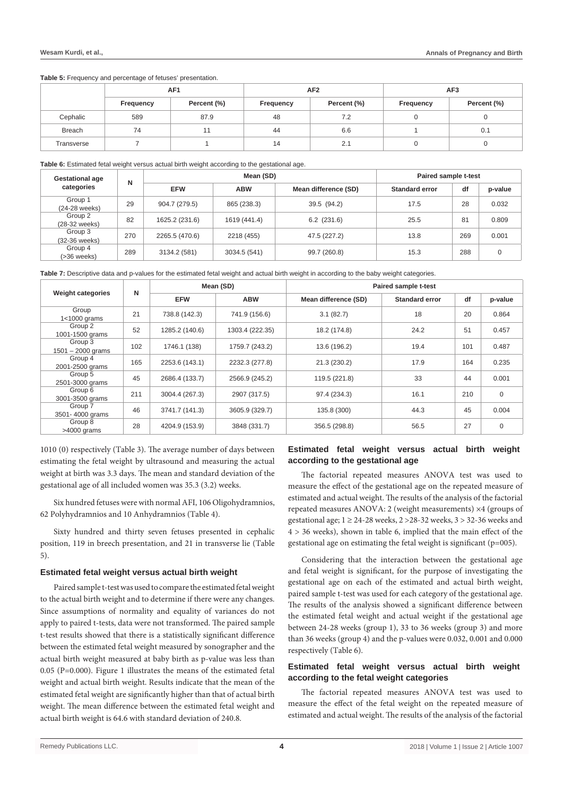**Table 5:** Frequency and percentage of fetuses' presentation.

|               | AF <sub>1</sub> |             |           | AF <sub>2</sub> | AF <sub>3</sub> |             |  |
|---------------|-----------------|-------------|-----------|-----------------|-----------------|-------------|--|
|               | Frequency       | Percent (%) | Frequency | Percent (%)     | Frequency       | Percent (%) |  |
| Cephalic      | 589             | 87.9        | 48        | 7.2             | 0               |             |  |
| <b>Breach</b> | 74              |             | 44        | 6.6             |                 | 0.1         |  |
| Transverse    |                 |             | 14        | 2.1             | 0               |             |  |

**Table 6:** Estimated fetal weight versus actual birth weight according to the gestational age.

| <b>Gestational age</b>   |            |                | Paired sample t-test |                       |      |         |       |
|--------------------------|------------|----------------|----------------------|-----------------------|------|---------|-------|
| N<br>categories          | <b>EFW</b> | <b>ABW</b>     | Mean difference (SD) | <b>Standard error</b> | df   | p-value |       |
| Group 1<br>(24-28 weeks) | 29         | 904.7 (279.5)  | 865 (238.3)          | 39.5 (94.2)           | 17.5 | 28      | 0.032 |
| Group 2<br>(28-32 weeks) | 82         | 1625.2 (231.6) | 1619 (441.4)         | $6.2$ (231.6)         | 25.5 | 81      | 0.809 |
| Group 3<br>(32-36 weeks) | 270        | 2265.5 (470.6) | 2218 (455)           | 47.5 (227.2)          | 13.8 | 269     | 0.001 |
| Group 4<br>(>36 weeks)   | 289        | 3134.2 (581)   | 3034.5 (541)         | 99.7 (260.8)          | 15.3 | 288     | 0     |

**Table 7:** Descriptive data and p-values for the estimated fetal weight and actual birth weight in according to the baby weight categories.

|                                |                               | Mean (SD)      |                 | Paired sample t-test |                       |     |             |
|--------------------------------|-------------------------------|----------------|-----------------|----------------------|-----------------------|-----|-------------|
|                                | N<br><b>Weight categories</b> |                | <b>ABW</b>      | Mean difference (SD) | <b>Standard error</b> | df  | p-value     |
| Group<br>$1<1000$ grams        | 21                            | 738.8 (142.3)  | 741.9 (156.6)   | 3.1(82.7)            | 18                    | 20  | 0.864       |
| Group 2<br>1001-1500 grams     | 52                            | 1285.2 (140.6) | 1303.4 (222.35) | 18.2 (174.8)         | 24.2                  | 51  | 0.457       |
| Group 3<br>$1501 - 2000$ grams | 102                           | 1746.1 (138)   | 1759.7 (243.2)  | 13.6 (196.2)         | 19.4                  | 101 | 0.487       |
| Group 4<br>2001-2500 grams     | 165                           | 2253.6 (143.1) | 2232.3 (277.8)  | 21.3 (230.2)         | 17.9                  | 164 | 0.235       |
| Group 5<br>2501-3000 grams     | 45                            | 2686.4 (133.7) | 2566.9 (245.2)  | 119.5 (221.8)        | 33                    | 44  | 0.001       |
| Group 6<br>3001-3500 grams     | 211                           | 3004.4 (267.3) | 2907 (317.5)    | 97.4 (234.3)         | 16.1                  | 210 | $\mathbf 0$ |
| Group 7<br>3501-4000 grams     | 46                            | 3741.7 (141.3) | 3605.9 (329.7)  | 135.8 (300)          | 44.3                  | 45  | 0.004       |
| Group 8<br>$>4000$ grams       | 28                            | 4204.9 (153.9) | 3848 (331.7)    | 356.5 (298.8)        | 56.5                  | 27  | $\mathbf 0$ |

1010 (0) respectively (Table 3). The average number of days between estimating the fetal weight by ultrasound and measuring the actual weight at birth was 3.3 days. The mean and standard deviation of the gestational age of all included women was 35.3 (3.2) weeks.

Six hundred fetuses were with normal AFI, 106 Oligohydramnios, 62 Polyhydramnios and 10 Anhydramnios (Table 4).

Sixty hundred and thirty seven fetuses presented in cephalic position, 119 in breech presentation, and 21 in transverse lie (Table 5).

#### **Estimated fetal weight versus actual birth weight**

Paired sample t-test was used to compare the estimated fetal weight to the actual birth weight and to determine if there were any changes. Since assumptions of normality and equality of variances do not apply to paired t-tests, data were not transformed. The paired sample t-test results showed that there is a statistically significant difference between the estimated fetal weight measured by sonographer and the actual birth weight measured at baby birth as p-value was less than 0.05 (P=0.000). Figure 1 illustrates the means of the estimated fetal weight and actual birth weight. Results indicate that the mean of the estimated fetal weight are significantly higher than that of actual birth weight. The mean difference between the estimated fetal weight and actual birth weight is 64.6 with standard deviation of 240.8.

# **Estimated fetal weight versus actual birth weight according to the gestational age**

The factorial repeated measures ANOVA test was used to measure the effect of the gestational age on the repeated measure of estimated and actual weight. The results of the analysis of the factorial repeated measures ANOVA: 2 (weight measurements) ×4 (groups of gestational age;  $1 \ge 24$ -28 weeks,  $2 > 28$ -32 weeks,  $3 > 32$ -36 weeks and 4 > 36 weeks), shown in table 6, implied that the main effect of the gestational age on estimating the fetal weight is significant ( $p=005$ ).

Considering that the interaction between the gestational age and fetal weight is significant, for the purpose of investigating the gestational age on each of the estimated and actual birth weight, paired sample t-test was used for each category of the gestational age. The results of the analysis showed a significant difference between the estimated fetal weight and actual weight if the gestational age between 24-28 weeks (group 1), 33 to 36 weeks (group 3) and more than 36 weeks (group 4) and the p-values were 0.032, 0.001 and 0.000 respectively (Table 6).

# **Estimated fetal weight versus actual birth weight according to the fetal weight categories**

The factorial repeated measures ANOVA test was used to measure the effect of the fetal weight on the repeated measure of estimated and actual weight. The results of the analysis of the factorial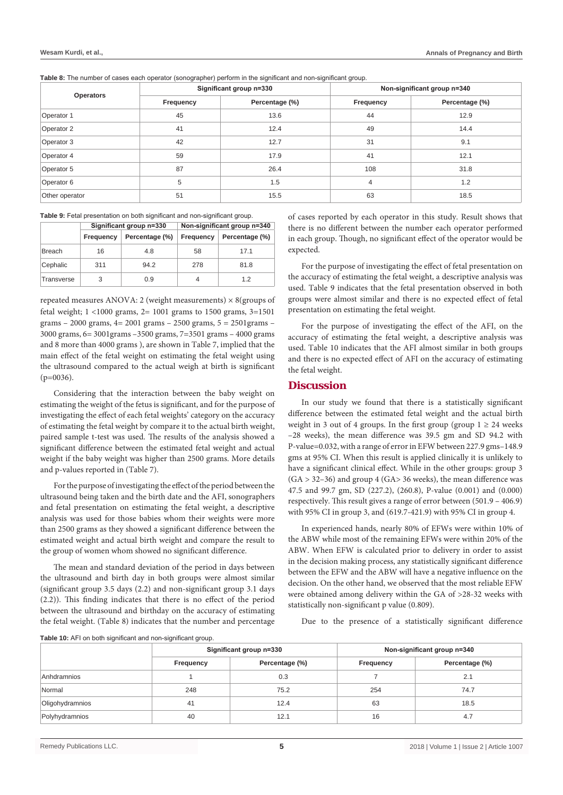**Table 8:** The number of cases each operator (sonographer) perform in the significant and non-significant group.

| <b>Operators</b> |           | Significant group n=330 | Non-significant group n=340 |                |  |
|------------------|-----------|-------------------------|-----------------------------|----------------|--|
|                  | Frequency | Percentage (%)          | Frequency                   | Percentage (%) |  |
| Operator 1       | 45        | 13.6                    | 44                          | 12.9           |  |
| Operator 2       | 41        | 12.4                    | 49                          | 14.4           |  |
| Operator 3       | 42        | 12.7                    | 31                          | 9.1            |  |
| Operator 4       | 59        | 17.9                    | 41                          | 12.1           |  |
| Operator 5       | 87        | 26.4                    | 108                         | 31.8           |  |
| Operator 6       | 5         | 1.5                     | 4                           | 1.2            |  |
| Other operator   | 51        | 15.5                    | 63                          | 18.5           |  |

|               |           | Significant group n=330 | Non-significant group n=340 |                |  |
|---------------|-----------|-------------------------|-----------------------------|----------------|--|
|               | Frequency | Percentage (%)          | Frequency                   | Percentage (%) |  |
| <b>Breach</b> | 16        | 4.8                     | 58                          | 171            |  |
| Cephalic      | 311       | 94.2                    | 278                         | 81.8           |  |
| Transverse    | 3         | 0.9                     | 4                           | 12             |  |

repeated measures ANOVA: 2 (weight measurements)  $\times$  8(groups of fetal weight; 1 <1000 grams, 2= 1001 grams to 1500 grams, 3=1501 grams – 2000 grams, 4= 2001 grams – 2500 grams, 5 = 2501grams – 3000 grams, 6= 3001grams –3500 grams, 7=3501 grams – 4000 grams and 8 more than 4000 grams ), are shown in Table 7, implied that the main effect of the fetal weight on estimating the fetal weight using the ultrasound compared to the actual weigh at birth is significant (p=0036).

Considering that the interaction between the baby weight on estimating the weight of the fetus is significant, and for the purpose of investigating the effect of each fetal weights' category on the accuracy of estimating the fetal weight by compare it to the actual birth weight, paired sample t-test was used. The results of the analysis showed a significant difference between the estimated fetal weight and actual weight if the baby weight was higher than 2500 grams. More details and p-values reported in (Table 7).

For the purpose of investigating the effect of the period between the ultrasound being taken and the birth date and the AFI, sonographers and fetal presentation on estimating the fetal weight, a descriptive analysis was used for those babies whom their weights were more than 2500 grams as they showed a significant difference between the estimated weight and actual birth weight and compare the result to the group of women whom showed no significant difference.

The mean and standard deviation of the period in days between the ultrasound and birth day in both groups were almost similar (significant group 3.5 days (2.2) and non-significant group 3.1 days (2.2)). This finding indicates that there is no effect of the period between the ultrasound and birthday on the accuracy of estimating the fetal weight. (Table 8) indicates that the number and percentage of cases reported by each operator in this study. Result shows that there is no different between the number each operator performed in each group. Though, no significant effect of the operator would be expected.

For the purpose of investigating the effect of fetal presentation on the accuracy of estimating the fetal weight, a descriptive analysis was used. Table 9 indicates that the fetal presentation observed in both groups were almost similar and there is no expected effect of fetal presentation on estimating the fetal weight.

For the purpose of investigating the effect of the AFI, on the accuracy of estimating the fetal weight, a descriptive analysis was used. Table 10 indicates that the AFI almost similar in both groups and there is no expected effect of AFI on the accuracy of estimating the fetal weight.

# **Discussion**

In our study we found that there is a statistically significant difference between the estimated fetal weight and the actual birth weight in 3 out of 4 groups. In the first group (group  $1 \ge 24$  weeks –28 weeks), the mean difference was 39.5 gm and SD 94.2 with P-value=0.032, with a range of error in EFW between 227.9 gms–148.9 gms at 95% CI. When this result is applied clinically it is unlikely to have a significant clinical effect. While in the other groups: group 3  $(GA > 32-36)$  and group 4  $(GA > 36$  weeks), the mean difference was 47.5 and 99.7 gm, SD (227.2), (260.8), P-value (0.001) and (0.000) respectively. This result gives a range of error between (501.9 – 406.9) with 95% CI in group 3, and (619.7-421.9) with 95% CI in group 4.

In experienced hands, nearly 80% of EFWs were within 10% of the ABW while most of the remaining EFWs were within 20% of the ABW. When EFW is calculated prior to delivery in order to assist in the decision making process, any statistically significant difference between the EFW and the ABW will have a negative influence on the decision. On the other hand, we observed that the most reliable EFW were obtained among delivery within the GA of >28-32 weeks with statistically non-significant p value (0.809).

Due to the presence of a statistically significant difference

**Table 10:** AFI on both significant and non-significant group.

|                 | Significant group n=330 |                | Non-significant group n=340 |                |
|-----------------|-------------------------|----------------|-----------------------------|----------------|
|                 | Frequency               | Percentage (%) | <b>Frequency</b>            | Percentage (%) |
| Anhdramnios     |                         | 0.3            |                             | 2.1            |
| Normal          | 248                     | 75.2           | 254                         | 74.7           |
| Oligohydramnios | 41                      | 12.4           | 63                          | 18.5           |
| Polyhydramnios  | 40                      | 12.1           | 16                          | 4.7            |